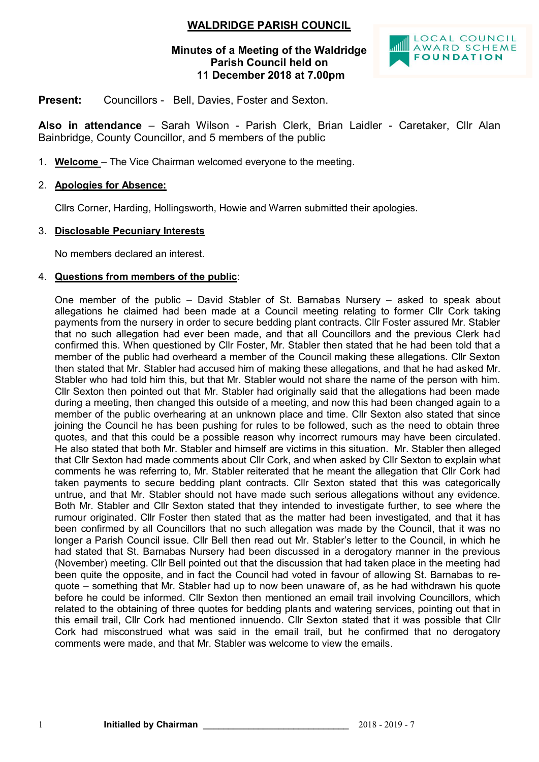### **WALDRIDGE PARISH COUNCIL**

#### **Minutes of a Meeting of the Waldridge Parish Council held on 11 December 2018 at 7.00pm**



**Present:** Councillors - Bell, Davies, Foster and Sexton.

**Also in attendance** – Sarah Wilson - Parish Clerk, Brian Laidler - Caretaker, Cllr Alan Bainbridge, County Councillor, and 5 members of the public

1. **Welcome** – The Vice Chairman welcomed everyone to the meeting.

#### 2. **Apologies for Absence:**

Cllrs Corner, Harding, Hollingsworth, Howie and Warren submitted their apologies.

#### 3. **Disclosable Pecuniary Interests**

No members declared an interest.

#### 4. **Questions from members of the public**:

One member of the public – David Stabler of St. Barnabas Nursery – asked to speak about allegations he claimed had been made at a Council meeting relating to former Cllr Cork taking payments from the nursery in order to secure bedding plant contracts. Cllr Foster assured Mr. Stabler that no such allegation had ever been made, and that all Councillors and the previous Clerk had confirmed this. When questioned by Cllr Foster, Mr. Stabler then stated that he had been told that a member of the public had overheard a member of the Council making these allegations. Cllr Sexton then stated that Mr. Stabler had accused him of making these allegations, and that he had asked Mr. Stabler who had told him this, but that Mr. Stabler would not share the name of the person with him. Cllr Sexton then pointed out that Mr. Stabler had originally said that the allegations had been made during a meeting, then changed this outside of a meeting, and now this had been changed again to a member of the public overhearing at an unknown place and time. Cllr Sexton also stated that since joining the Council he has been pushing for rules to be followed, such as the need to obtain three quotes, and that this could be a possible reason why incorrect rumours may have been circulated. He also stated that both Mr. Stabler and himself are victims in this situation. Mr. Stabler then alleged that Cllr Sexton had made comments about Cllr Cork, and when asked by Cllr Sexton to explain what comments he was referring to, Mr. Stabler reiterated that he meant the allegation that Cllr Cork had taken payments to secure bedding plant contracts. Cllr Sexton stated that this was categorically untrue, and that Mr. Stabler should not have made such serious allegations without any evidence. Both Mr. Stabler and Cllr Sexton stated that they intended to investigate further, to see where the rumour originated. Cllr Foster then stated that as the matter had been investigated, and that it has been confirmed by all Councillors that no such allegation was made by the Council, that it was no longer a Parish Council issue. Cllr Bell then read out Mr. Stabler's letter to the Council, in which he had stated that St. Barnabas Nursery had been discussed in a derogatory manner in the previous (November) meeting. Cllr Bell pointed out that the discussion that had taken place in the meeting had been quite the opposite, and in fact the Council had voted in favour of allowing St. Barnabas to requote – something that Mr. Stabler had up to now been unaware of, as he had withdrawn his quote before he could be informed. Cllr Sexton then mentioned an email trail involving Councillors, which related to the obtaining of three quotes for bedding plants and watering services, pointing out that in this email trail, Cllr Cork had mentioned innuendo. Cllr Sexton stated that it was possible that Cllr Cork had misconstrued what was said in the email trail, but he confirmed that no derogatory comments were made, and that Mr. Stabler was welcome to view the emails.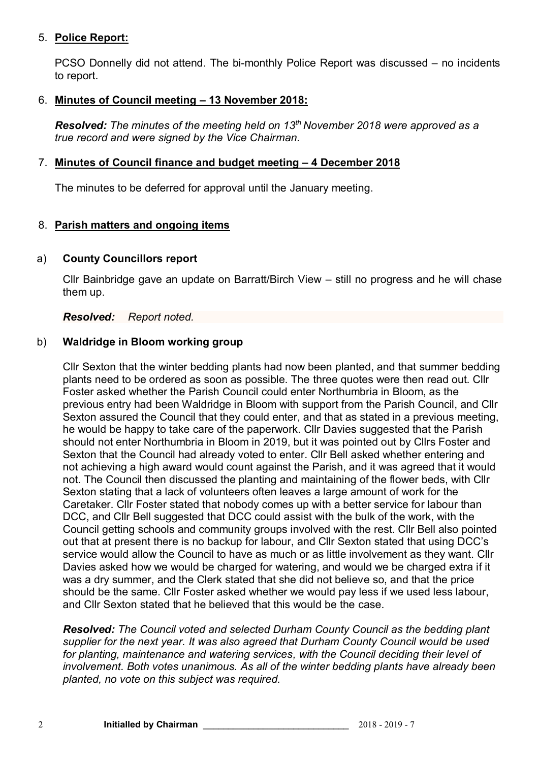### 5. **Police Report:**

PCSO Donnelly did not attend. The bi-monthly Police Report was discussed – no incidents to report.

#### 6. **Minutes of Council meeting – 13 November 2018:**

*Resolved: The minutes of the meeting held on 13 th November 2018 were approved as a true record and were signed by the Vice Chairman.*

## 7. **Minutes of Council finance and budget meeting – 4 December 2018**

The minutes to be deferred for approval until the January meeting.

### 8. **Parish matters and ongoing items**

#### a) **County Councillors report**

Cllr Bainbridge gave an update on Barratt/Birch View – still no progress and he will chase them up.

*Resolved: Report noted.* 

### b) **Waldridge in Bloom working group**

Cllr Sexton that the winter bedding plants had now been planted, and that summer bedding plants need to be ordered as soon as possible. The three quotes were then read out. Cllr Foster asked whether the Parish Council could enter Northumbria in Bloom, as the previous entry had been Waldridge in Bloom with support from the Parish Council, and Cllr Sexton assured the Council that they could enter, and that as stated in a previous meeting, he would be happy to take care of the paperwork. Cllr Davies suggested that the Parish should not enter Northumbria in Bloom in 2019, but it was pointed out by Cllrs Foster and Sexton that the Council had already voted to enter. Cllr Bell asked whether entering and not achieving a high award would count against the Parish, and it was agreed that it would not. The Council then discussed the planting and maintaining of the flower beds, with Cllr Sexton stating that a lack of volunteers often leaves a large amount of work for the Caretaker. Cllr Foster stated that nobody comes up with a better service for labour than DCC, and Cllr Bell suggested that DCC could assist with the bulk of the work, with the Council getting schools and community groups involved with the rest. Cllr Bell also pointed out that at present there is no backup for labour, and Cllr Sexton stated that using DCC's service would allow the Council to have as much or as little involvement as they want. Cllr Davies asked how we would be charged for watering, and would we be charged extra if it was a dry summer, and the Clerk stated that she did not believe so, and that the price should be the same. Cllr Foster asked whether we would pay less if we used less labour, and Cllr Sexton stated that he believed that this would be the case.

*Resolved: The Council voted and selected Durham County Council as the bedding plant supplier for the next year. It was also agreed that Durham County Council would be used for planting, maintenance and watering services, with the Council deciding their level of involvement. Both votes unanimous. As all of the winter bedding plants have already been planted, no vote on this subject was required.*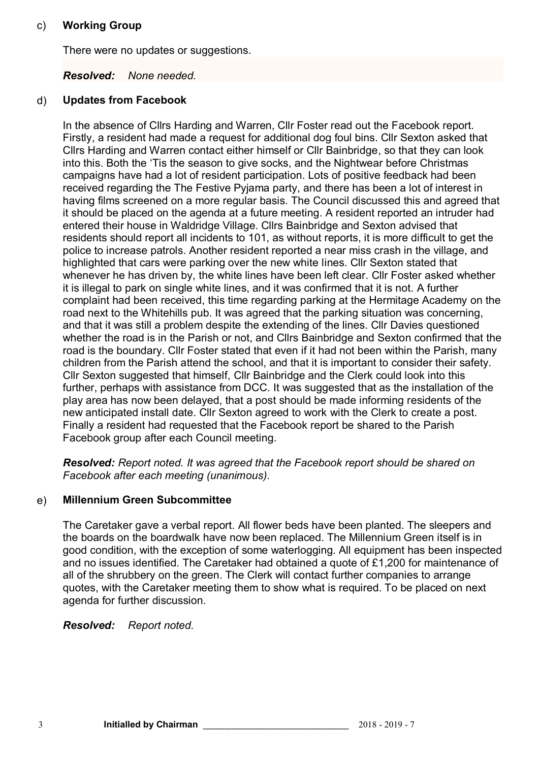#### c) **Working Group**

There were no updates or suggestions.

# *Resolved: None needed.*

## d) **Updates from Facebook**

In the absence of Cllrs Harding and Warren, Cllr Foster read out the Facebook report. Firstly, a resident had made a request for additional dog foul bins. Cllr Sexton asked that Cllrs Harding and Warren contact either himself or Cllr Bainbridge, so that they can look into this. Both the 'Tis the season to give socks, and the Nightwear before Christmas campaigns have had a lot of resident participation. Lots of positive feedback had been received regarding the The Festive Pyjama party, and there has been a lot of interest in having films screened on a more regular basis. The Council discussed this and agreed that it should be placed on the agenda at a future meeting. A resident reported an intruder had entered their house in Waldridge Village. Cllrs Bainbridge and Sexton advised that residents should report all incidents to 101, as without reports, it is more difficult to get the police to increase patrols. Another resident reported a near miss crash in the village, and highlighted that cars were parking over the new white lines. Cllr Sexton stated that whenever he has driven by, the white lines have been left clear. Cllr Foster asked whether it is illegal to park on single white lines, and it was confirmed that it is not. A further complaint had been received, this time regarding parking at the Hermitage Academy on the road next to the Whitehills pub. It was agreed that the parking situation was concerning, and that it was still a problem despite the extending of the lines. Cllr Davies questioned whether the road is in the Parish or not, and Cllrs Bainbridge and Sexton confirmed that the road is the boundary. Cllr Foster stated that even if it had not been within the Parish, many children from the Parish attend the school, and that it is important to consider their safety. Cllr Sexton suggested that himself, Cllr Bainbridge and the Clerk could look into this further, perhaps with assistance from DCC. It was suggested that as the installation of the play area has now been delayed, that a post should be made informing residents of the new anticipated install date. Cllr Sexton agreed to work with the Clerk to create a post. Finally a resident had requested that the Facebook report be shared to the Parish Facebook group after each Council meeting.

*Resolved: Report noted. It was agreed that the Facebook report should be shared on Facebook after each meeting (unanimous).*

# e) **Millennium Green Subcommittee**

The Caretaker gave a verbal report. All flower beds have been planted. The sleepers and the boards on the boardwalk have now been replaced. The Millennium Green itself is in good condition, with the exception of some waterlogging. All equipment has been inspected and no issues identified. The Caretaker had obtained a quote of £1,200 for maintenance of all of the shrubbery on the green. The Clerk will contact further companies to arrange quotes, with the Caretaker meeting them to show what is required. To be placed on next agenda for further discussion.

*Resolved: Report noted.*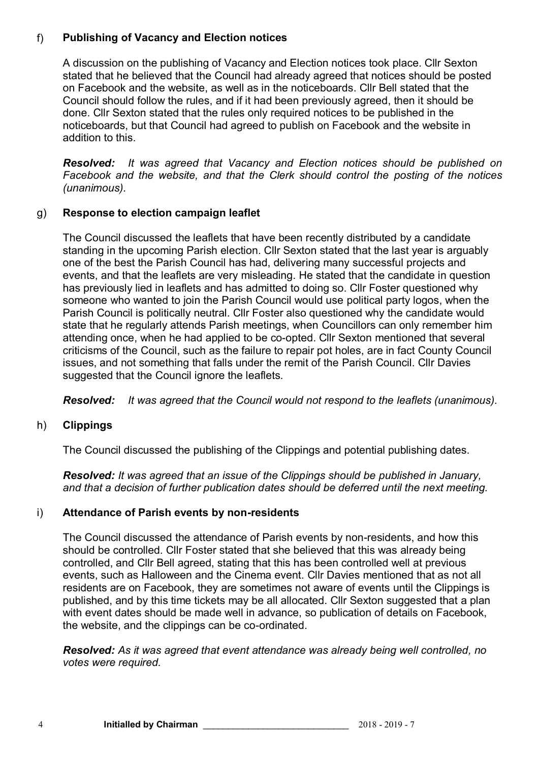# f) **Publishing of Vacancy and Election notices**

A discussion on the publishing of Vacancy and Election notices took place. Cllr Sexton stated that he believed that the Council had already agreed that notices should be posted on Facebook and the website, as well as in the noticeboards. Cllr Bell stated that the Council should follow the rules, and if it had been previously agreed, then it should be done. Cllr Sexton stated that the rules only required notices to be published in the noticeboards, but that Council had agreed to publish on Facebook and the website in addition to this.

*Resolved: It was agreed that Vacancy and Election notices should be published on Facebook and the website, and that the Clerk should control the posting of the notices (unanimous).*

### g) **Response to election campaign leaflet**

The Council discussed the leaflets that have been recently distributed by a candidate standing in the upcoming Parish election. Cllr Sexton stated that the last year is arguably one of the best the Parish Council has had, delivering many successful projects and events, and that the leaflets are very misleading. He stated that the candidate in question has previously lied in leaflets and has admitted to doing so. Cllr Foster questioned why someone who wanted to join the Parish Council would use political party logos, when the Parish Council is politically neutral. Cllr Foster also questioned why the candidate would state that he regularly attends Parish meetings, when Councillors can only remember him attending once, when he had applied to be co-opted. Cllr Sexton mentioned that several criticisms of the Council, such as the failure to repair pot holes, are in fact County Council issues, and not something that falls under the remit of the Parish Council. Cllr Davies suggested that the Council ignore the leaflets.

*Resolved: It was agreed that the Council would not respond to the leaflets (unanimous).*

# h) **Clippings**

The Council discussed the publishing of the Clippings and potential publishing dates.

*Resolved: It was agreed that an issue of the Clippings should be published in January, and that a decision of further publication dates should be deferred until the next meeting.*

#### i) **Attendance of Parish events by non-residents**

The Council discussed the attendance of Parish events by non-residents, and how this should be controlled. Cllr Foster stated that she believed that this was already being controlled, and Cllr Bell agreed, stating that this has been controlled well at previous events, such as Halloween and the Cinema event. Cllr Davies mentioned that as not all residents are on Facebook, they are sometimes not aware of events until the Clippings is published, and by this time tickets may be all allocated. Cllr Sexton suggested that a plan with event dates should be made well in advance, so publication of details on Facebook, the website, and the clippings can be co-ordinated.

*Resolved: As it was agreed that event attendance was already being well controlled, no votes were required.*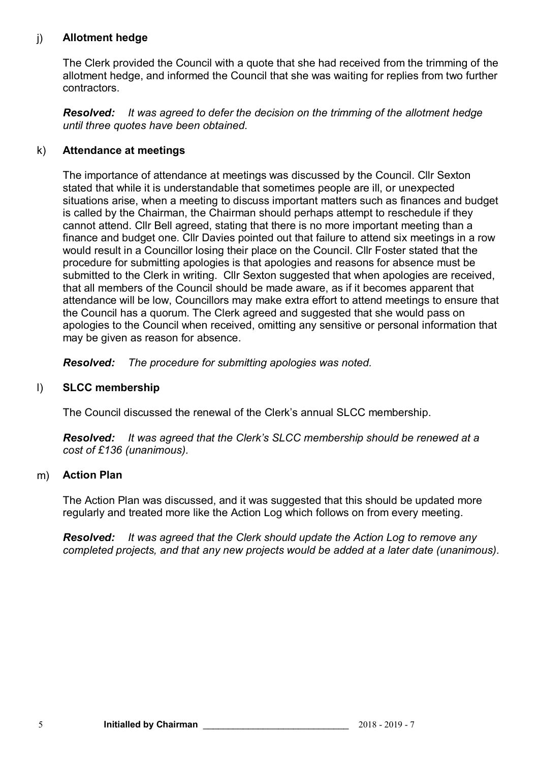# j) **Allotment hedge**

The Clerk provided the Council with a quote that she had received from the trimming of the allotment hedge, and informed the Council that she was waiting for replies from two further contractors.

*Resolved: It was agreed to defer the decision on the trimming of the allotment hedge until three quotes have been obtained.*

#### k) **Attendance at meetings**

The importance of attendance at meetings was discussed by the Council. Cllr Sexton stated that while it is understandable that sometimes people are ill, or unexpected situations arise, when a meeting to discuss important matters such as finances and budget is called by the Chairman, the Chairman should perhaps attempt to reschedule if they cannot attend. Cllr Bell agreed, stating that there is no more important meeting than a finance and budget one. Cllr Davies pointed out that failure to attend six meetings in a row would result in a Councillor losing their place on the Council. Cllr Foster stated that the procedure for submitting apologies is that apologies and reasons for absence must be submitted to the Clerk in writing. Cllr Sexton suggested that when apologies are received, that all members of the Council should be made aware, as if it becomes apparent that attendance will be low, Councillors may make extra effort to attend meetings to ensure that the Council has a quorum. The Clerk agreed and suggested that she would pass on apologies to the Council when received, omitting any sensitive or personal information that may be given as reason for absence.

*Resolved: The procedure for submitting apologies was noted.*

#### l) **SLCC membership**

The Council discussed the renewal of the Clerk's annual SLCC membership.

*Resolved: It was agreed that the Clerk's SLCC membership should be renewed at a cost of £136 (unanimous).*

#### m) **Action Plan**

The Action Plan was discussed, and it was suggested that this should be updated more regularly and treated more like the Action Log which follows on from every meeting.

*Resolved: It was agreed that the Clerk should update the Action Log to remove any completed projects, and that any new projects would be added at a later date (unanimous).*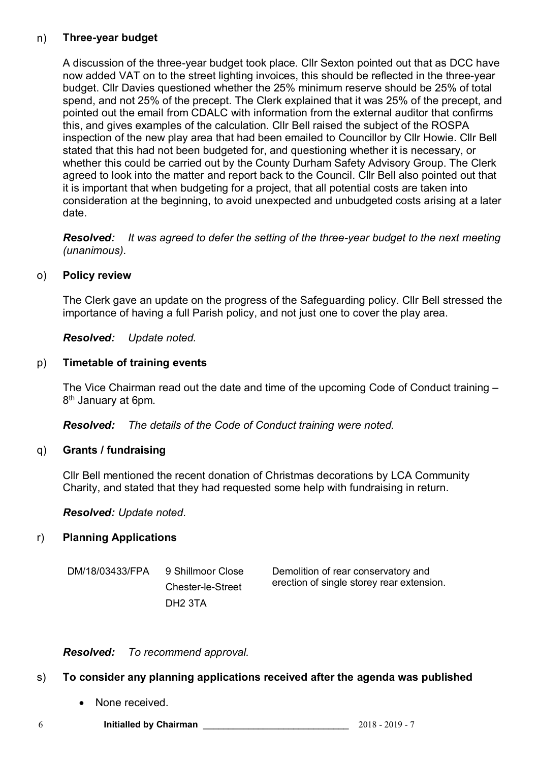### n) **Three-year budget**

A discussion of the three-year budget took place. Cllr Sexton pointed out that as DCC have now added VAT on to the street lighting invoices, this should be reflected in the three-year budget. Cllr Davies questioned whether the 25% minimum reserve should be 25% of total spend, and not 25% of the precept. The Clerk explained that it was 25% of the precept, and pointed out the email from CDALC with information from the external auditor that confirms this, and gives examples of the calculation. Cllr Bell raised the subject of the ROSPA inspection of the new play area that had been emailed to Councillor by Cllr Howie. Cllr Bell stated that this had not been budgeted for, and questioning whether it is necessary, or whether this could be carried out by the County Durham Safety Advisory Group. The Clerk agreed to look into the matter and report back to the Council. Cllr Bell also pointed out that it is important that when budgeting for a project, that all potential costs are taken into consideration at the beginning, to avoid unexpected and unbudgeted costs arising at a later date.

*Resolved: It was agreed to defer the setting of the three-year budget to the next meeting (unanimous).*

#### o) **Policy review**

The Clerk gave an update on the progress of the Safeguarding policy. Cllr Bell stressed the importance of having a full Parish policy, and not just one to cover the play area.

*Resolved: Update noted.*

### p) **Timetable of training events**

The Vice Chairman read out the date and time of the upcoming Code of Conduct training – 8<sup>th</sup> January at 6pm.

*Resolved: The details of the Code of Conduct training were noted.*

#### q) **Grants / fundraising**

Cllr Bell mentioned the recent donation of Christmas decorations by LCA Community Charity, and stated that they had requested some help with fundraising in return.

*Resolved: Update noted.*

#### r) **Planning Applications**

DM/18/03433/FPA 9 Shillmoor Close Chester-le-Street DH2 3TA Demolition of rear conservatory and erection of single storey rear extension.

*Resolved: To recommend approval.*

# s) **To consider any planning applications received after the agenda was published**

• None received.

6 **Initialled by Chairman** \_\_\_\_\_\_\_\_\_\_\_\_\_\_\_\_\_\_\_\_\_\_\_\_\_\_\_\_\_ 2018 - 2019 - 7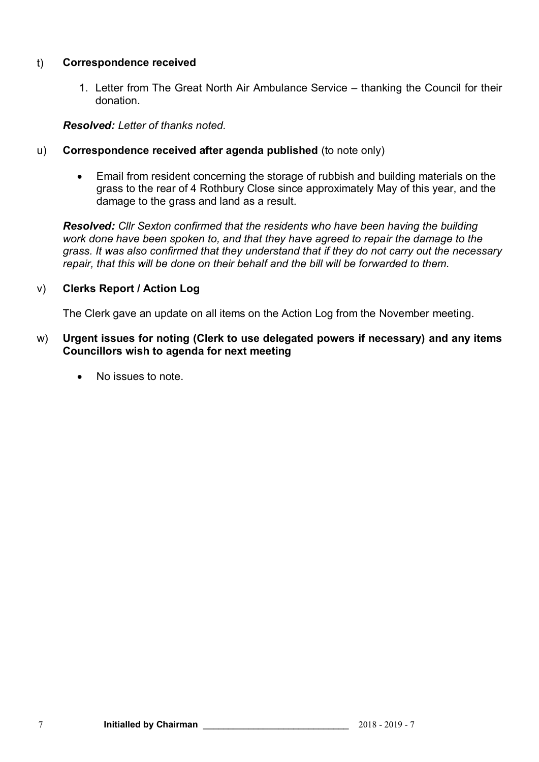### t) **Correspondence received**

1. Letter from The Great North Air Ambulance Service – thanking the Council for their donation.

#### *Resolved: Letter of thanks noted.*

- u) **Correspondence received after agenda published** (to note only)
	- Email from resident concerning the storage of rubbish and building materials on the grass to the rear of 4 Rothbury Close since approximately May of this year, and the damage to the grass and land as a result.

*Resolved: Cllr Sexton confirmed that the residents who have been having the building work done have been spoken to, and that they have agreed to repair the damage to the grass. It was also confirmed that they understand that if they do not carry out the necessary repair, that this will be done on their behalf and the bill will be forwarded to them.*

### v) **Clerks Report / Action Log**

The Clerk gave an update on all items on the Action Log from the November meeting.

#### w) **Urgent issues for noting (Clerk to use delegated powers if necessary) and any items Councillors wish to agenda for next meeting**

No issues to note.